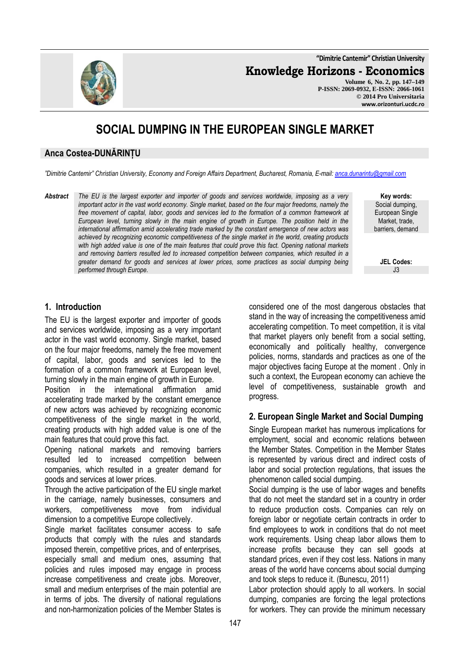**"Dimitrie Cantemir" Christian University**

**Knowledge Horizons - Economics**

**Volume 6, No. 2, pp. 147–149 P-ISSN: 2069-0932, E-ISSN: 2066-1061 © 2014 Pro Universitaria www.orizonturi.ucdc.ro**

# **SOCIAL DUMPING IN THE EUROPEAN SINGLE MARKET**

#### **Anca Costea-DUNĂRINȚU**

*"Dimitrie Cantemir" Christian University, Economy and Foreign Affairs Department, Bucharest, Romania, E-mail: anca.dunarintu@gmail.com*

*Abstract The EU is the largest exporter and importer of goods and services worldwide, imposing as a very important actor in the vast world economy. Single market, based on the four major freedoms, namely the free movement of capital, labor, goods and services led to the formation of a common framework at European level, turning slowly in the main engine of growth in Europe. The position held in the international affirmation amid accelerating trade marked by the constant emergence of new actors was achieved by recognizing economic competitiveness of the single market in the world, creating products with high added value is one of the main features that could prove this fact. Opening national markets and removing barriers resulted led to increased competition between companies, which resulted in a greater demand for goods and services at lower prices, some practices as social dumping being performed through Europe.* 

**Key words:** Social dumping, European Single Market, trade, barriers, demand

> **JEL Codes:**  $\overline{3}$

### **1. Introduction**

The EU is the largest exporter and importer of goods and services worldwide, imposing as a very important actor in the vast world economy. Single market, based on the four major freedoms, namely the free movement of capital, labor, goods and services led to the formation of a common framework at European level, turning slowly in the main engine of growth in Europe.

Position in the international affirmation amid accelerating trade marked by the constant emergence of new actors was achieved by recognizing economic competitiveness of the single market in the world, creating products with high added value is one of the main features that could prove this fact.

Opening national markets and removing barriers resulted led to increased competition between companies, which resulted in a greater demand for goods and services at lower prices.

Through the active participation of the EU single market in the carriage, namely businesses, consumers and workers, competitiveness move from individual dimension to a competitive Europe collectively.

Single market facilitates consumer access to safe products that comply with the rules and standards imposed therein, competitive prices, and of enterprises, especially small and medium ones, assuming that policies and rules imposed may engage in process increase competitiveness and create jobs. Moreover, small and medium enterprises of the main potential are in terms of jobs. The diversity of national regulations and non-harmonization policies of the Member States is

considered one of the most dangerous obstacles that stand in the way of increasing the competitiveness amid accelerating competition. To meet competition, it is vital that market players only benefit from a social setting, economically and politically healthy, convergence policies, norms, standards and practices as one of the major objectives facing Europe at the moment . Only in such a context, the European economy can achieve the level of competitiveness, sustainable growth and progress.

#### **2. European Single Market and Social Dumping**

Single European market has numerous implications for employment, social and economic relations between the Member States. Competition in the Member States is represented by various direct and indirect costs of labor and social protection regulations, that issues the phenomenon called social dumping.

Social dumping is the use of labor wages and benefits that do not meet the standard set in a country in order to reduce production costs. Companies can rely on foreign labor or negotiate certain contracts in order to find employees to work in conditions that do not meet work requirements. Using cheap labor allows them to increase profits because they can sell goods at standard prices, even if they cost less. Nations in many areas of the world have concerns about social dumping and took steps to reduce it. (Bunescu, 2011)

Labor protection should apply to all workers. In social dumping, companies are forcing the legal protections for workers. They can provide the minimum necessary

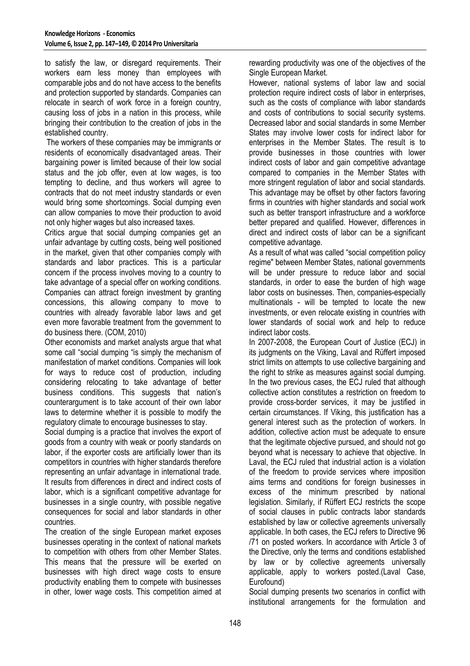to satisfy the law, or disregard requirements. Their workers earn less money than employees with comparable jobs and do not have access to the benefits and protection supported by standards. Companies can relocate in search of work force in a foreign country, causing loss of jobs in a nation in this process, while bringing their contribution to the creation of jobs in the established country.

 The workers of these companies may be immigrants or residents of economically disadvantaged areas. Their bargaining power is limited because of their low social status and the job offer, even at low wages, is too tempting to decline, and thus workers will agree to contracts that do not meet industry standards or even would bring some shortcomings. Social dumping even can allow companies to move their production to avoid not only higher wages but also increased taxes.

Critics argue that social dumping companies get an unfair advantage by cutting costs, being well positioned in the market, given that other companies comply with standards and labor practices. This is a particular concern if the process involves moving to a country to take advantage of a special offer on working conditions. Companies can attract foreign investment by granting concessions, this allowing company to move to countries with already favorable labor laws and get even more favorable treatment from the government to do business there. (COM, 2010)

Other economists and market analysts argue that what some call "social dumping "is simply the mechanism of manifestation of market conditions. Companies will look for ways to reduce cost of production, including considering relocating to take advantage of better business conditions. This suggests that nation's counterargument is to take account of their own labor laws to determine whether it is possible to modify the regulatory climate to encourage businesses to stay.

Social dumping is a practice that involves the export of goods from a country with weak or poorly standards on labor, if the exporter costs are artificially lower than its competitors in countries with higher standards therefore representing an unfair advantage in international trade. It results from differences in direct and indirect costs of labor, which is a significant competitive advantage for businesses in a single country, with possible negative consequences for social and labor standards in other countries.

The creation of the single European market exposes businesses operating in the context of national markets to competition with others from other Member States. This means that the pressure will be exerted on businesses with high direct wage costs to ensure productivity enabling them to compete with businesses in other, lower wage costs. This competition aimed at rewarding productivity was one of the objectives of the Single European Market.

However, national systems of labor law and social protection require indirect costs of labor in enterprises, such as the costs of compliance with labor standards and costs of contributions to social security systems. Decreased labor and social standards in some Member States may involve lower costs for indirect labor for enterprises in the Member States. The result is to provide businesses in those countries with lower indirect costs of labor and gain competitive advantage compared to companies in the Member States with more stringent regulation of labor and social standards. This advantage may be offset by other factors favoring firms in countries with higher standards and social work such as better transport infrastructure and a workforce better prepared and qualified. However, differences in direct and indirect costs of labor can be a significant competitive advantage.

As a result of what was called "social competition policy regime" between Member States, national governments will be under pressure to reduce labor and social standards, in order to ease the burden of high wage labor costs on businesses. Then, companies-especially multinationals - will be tempted to locate the new investments, or even relocate existing in countries with lower standards of social work and help to reduce indirect labor costs.

In 2007-2008, the European Court of Justice (ECJ) in its judgments on the Viking, Laval and Rüffert imposed strict limits on attempts to use collective bargaining and the right to strike as measures against social dumping. In the two previous cases, the ECJ ruled that although collective action constitutes a restriction on freedom to provide cross-border services, it may be justified in certain circumstances. If Viking, this justification has a general interest such as the protection of workers. In addition, collective action must be adequate to ensure that the legitimate objective pursued, and should not go beyond what is necessary to achieve that objective. In Laval, the ECJ ruled that industrial action is a violation of the freedom to provide services where imposition aims terms and conditions for foreign businesses in excess of the minimum prescribed by national legislation. Similarly, if Rüffert ECJ restricts the scope of social clauses in public contracts labor standards established by law or collective agreements universally applicable. In both cases, the ECJ refers to Directive 96 /71 on posted workers. In accordance with Article 3 of the Directive, only the terms and conditions established by law or by collective agreements universally applicable, apply to workers posted.(Laval Case, Eurofound)

Social dumping presents two scenarios in conflict with institutional arrangements for the formulation and